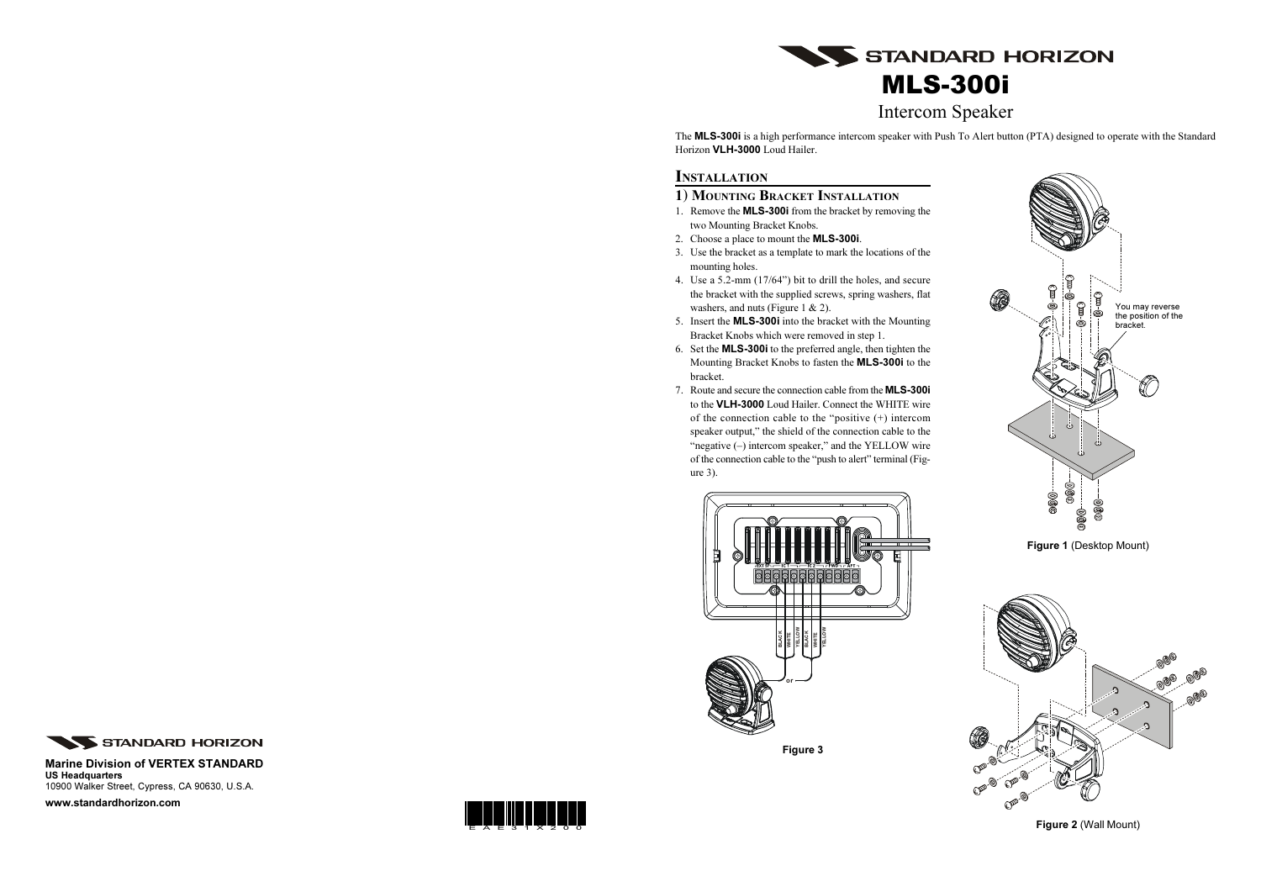

# S STANDARD HORIZON MLS-300i Intercom Speaker

The MLS-300i is a high performance intercom speaker with Push To Alert button (PTA) designed to operate with the Standard Horizon VLH-3000 Loud Hailer.

#### **INSTALLATION**

#### 1) MOUNTING BRACKET INSTALLATION

- 1. Remove the MLS-300i from the bracket by removing the two Mounting Bracket Knobs.
- 2. Choose a place to mount the MLS-300i.
- 3. Use the bracket as a template to mark the locations of the mounting holes.
- 4. Use a 5.2-mm (17/64") bit to drill the holes, and secure the bracket with the supplied screws, spring washers, flat washers, and nuts (Figure 1 & 2).
- 5. Insert the MLS-300i into the bracket with the Mounting Bracket Knobs which were removed in step 1.
- 6. Set the MLS-300i to the preferred angle, then tighten the Mounting Bracket Knobs to fasten the MLS-300i to the bracket.
- 7. Route and secure the connection cable from the MLS-300i to the VLH-3000 Loud Hailer. Connect the WHITE wire of the connection cable to the "positive (+) intercom speaker output," the shield of the connection cable to the "negative (–) intercom speaker," and the YELLOW wire of the connection cable to the "push to alert" terminal (Figure 3).



Figure 2 (Wall Mount)

#### Marine Division of VERTEX STANDARD US Headquarters 10900 Walker Street, Cypress, CA 90630, U.S.A.



Figure 1 (Desktop Mount)

www.standardhorizon.com

Figure 3